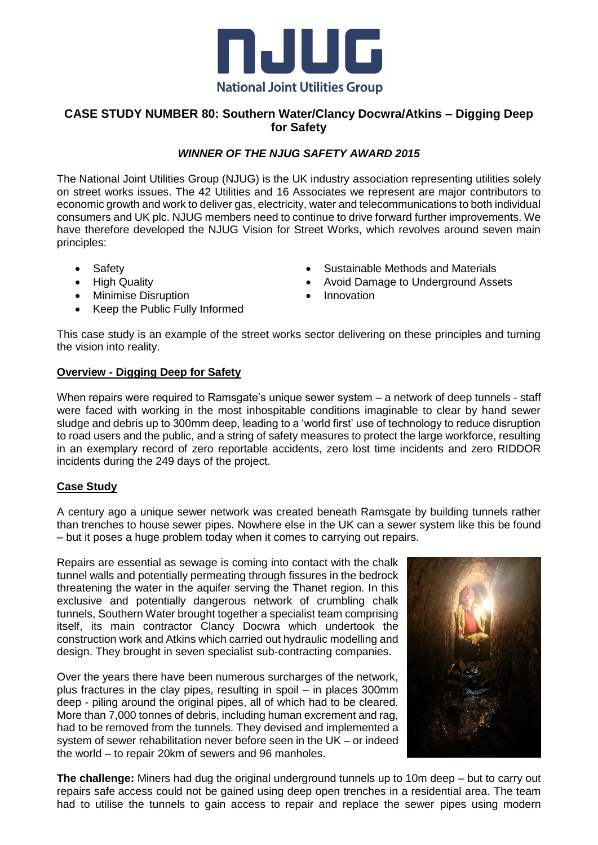

## **CASE STUDY NUMBER 80: Southern Water/Clancy Docwra/Atkins – Digging Deep for Safety**

## *WINNER OF THE NJUG SAFETY AWARD 2015*

The National Joint Utilities Group (NJUG) is the UK industry association representing utilities solely on street works issues. The 42 Utilities and 16 Associates we represent are major contributors to economic growth and work to deliver gas, electricity, water and telecommunications to both individual consumers and UK plc. NJUG members need to continue to drive forward further improvements. We have therefore developed the NJUG Vision for Street Works, which revolves around seven main principles:

- Safety
- High Quality
- Minimise Disruption
- Keep the Public Fully Informed
- Sustainable Methods and Materials
- Avoid Damage to Underground Assets
- Innovation

This case study is an example of the street works sector delivering on these principles and turning the vision into reality.

## **Overview - Digging Deep for Safety**

When repairs were required to Ramsgate's unique sewer system – a network of deep tunnels - staff were faced with working in the most inhospitable conditions imaginable to clear by hand sewer sludge and debris up to 300mm deep, leading to a 'world first' use of technology to reduce disruption to road users and the public, and a string of safety measures to protect the large workforce, resulting in an exemplary record of zero reportable accidents, zero lost time incidents and zero RIDDOR incidents during the 249 days of the project.

## **Case Study**

A century ago a unique sewer network was created beneath Ramsgate by building tunnels rather than trenches to house sewer pipes. Nowhere else in the UK can a sewer system like this be found – but it poses a huge problem today when it comes to carrying out repairs.

Repairs are essential as sewage is coming into contact with the chalk tunnel walls and potentially permeating through fissures in the bedrock threatening the water in the aquifer serving the Thanet region. In this exclusive and potentially dangerous network of crumbling chalk tunnels, Southern Water brought together a specialist team comprising itself, its main contractor Clancy Docwra which undertook the construction work and Atkins which carried out hydraulic modelling and design. They brought in seven specialist sub-contracting companies.

Over the years there have been numerous surcharges of the network, plus fractures in the clay pipes, resulting in spoil – in places 300mm deep - piling around the original pipes, all of which had to be cleared. More than 7,000 tonnes of debris, including human excrement and rag, had to be removed from the tunnels. They devised and implemented a system of sewer rehabilitation never before seen in the UK – or indeed the world – to repair 20km of sewers and 96 manholes.



**The challenge:** Miners had dug the original underground tunnels up to 10m deep – but to carry out repairs safe access could not be gained using deep open trenches in a residential area. The team had to utilise the tunnels to gain access to repair and replace the sewer pipes using modern